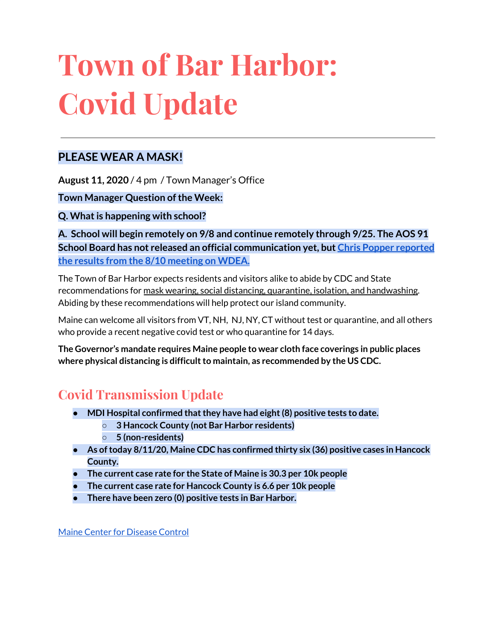# **Town of Bar Harbor: Covid Update**

### **PLEASE WEAR A MASK!**

**August 11, 2020** / 4 pm / Town Manager's Office

**Town Manager Question of the Week:** 

**Q. Whatis happening with school?**

**A. School will begin remotely on 9/8 and continue remotely through 9/25. The AOS 91 School Board has not released an official communication yet, but Chris Popper [reported](https://wdea.am/aos-91-board-votes-to-start-schools-september-8th-with-remote-learning-through-september-25-video/?trackback=fbshare_mobile&fbclid=IwAR23bDC1sAr5OR3eGMWIuymNzCkxdiBvB9apw4UDZJtBje4FE1wC_lsFI6Q) the results from the 8/10 [meeting](https://wdea.am/aos-91-board-votes-to-start-schools-september-8th-with-remote-learning-through-september-25-video/?trackback=fbshare_mobile&fbclid=IwAR23bDC1sAr5OR3eGMWIuymNzCkxdiBvB9apw4UDZJtBje4FE1wC_lsFI6Q) on WDEA.**

The Town of Bar Harbor expects residents and visitors alike to abide by CDC and State recommendations for mask wearing, social distancing, quarantine, isolation, and handwashing. Abiding by these recommendations will help protect our island community.

Maine can welcome all visitors from VT, NH, NJ, NY, CT without test or quarantine, and all others who provide a recent negative covid test or who quarantine for 14 days.

**The Governor's mandate requires Maine people to wear cloth face coverings in public places where physical distancing is difficultto maintain, as recommended by the US CDC.**

## **Covid Transmission Update**

- **● MDI Hospital confirmed thatthey have had eight(8) positive tests to date.**
	- **○ 3 Hancock County (not Bar Harbor residents)**
	- **○ 5 (non-residents)**
- **● As oftoday 8/11/20, Maine CDC has confirmed thirty six (36) positive cases in Hancock County.**
- **● The current case rate for the State of Maine is 30.3 per 10k people**
- **● The current case rate for Hancock County is 6.6 per 10k people**
- **There have been zero (0) positive tests in Bar Harbor.**

Maine Center for [Disease](https://www.maine.gov/dhhs/mecdc/infectious-disease/epi/airborne/coronavirus.shtml) Control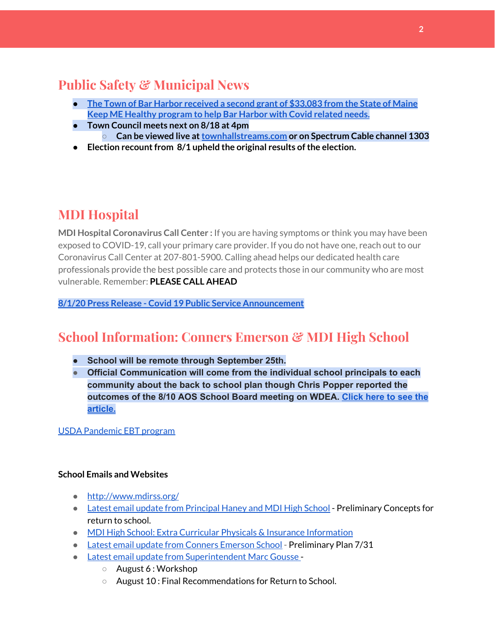## **Public Safety & Municipal News**

- **● The Town of Bar Harbor [received](https://www.maine.gov/governor/mills/news/mills-administration-approves-second-round-covid-19-prevention-and-protection-awards-under) a second grant of \$33,083 from the State of Maine Keep ME Healthy [program](https://www.maine.gov/governor/mills/news/mills-administration-approves-second-round-covid-19-prevention-and-protection-awards-under) to help Bar Harbor with Covid related needs.**
- **● Town Council meets next on 8/18 at 4pm ○ Can be viewed live at[townhallstreams.com](https://townhallstreams.com/) or on Spectrum Cable channel 1303**
- **•** Election recount from 8/1 upheld the original results of the election.

## **MDI Hospital**

**MDI Hospital Coronavirus Call Center :** If you are having symptoms or think you may have been exposed to COVID-19, call your primary care provider. If you do not have one, reach out to our Coronavirus Call Center at 207-801-5900. Calling ahead helps our dedicated health care professionals provide the best possible care and protects those in our community who are most vulnerable. Remember: **PLEASE CALL AHEAD**

**8/1/20 Press Release - Covid 19 Public Service [Announcement](https://www.mdihospital.org/news/covid-19-public-service-announcement/)**

## **School Information: Conners Emerson & MDI High School**

- **● School will be remote through September 25th.**
- **● Official Communication will come from the individual school principals to each community about the back to school plan though Chris Popper reported the outcomes of the 8/10 AOS School Board meeting on WDEA. [Click](https://wdea.am/aos-91-board-votes-to-start-schools-september-8th-with-remote-learning-through-september-25-video/?trackback=fbshare_mobile&fbclid=IwAR23bDC1sAr5OR3eGMWIuymNzCkxdiBvB9apw4UDZJtBje4FE1wC_lsFI6Q) here to see the [article.](https://wdea.am/aos-91-board-votes-to-start-schools-september-8th-with-remote-learning-through-september-25-video/?trackback=fbshare_mobile&fbclid=IwAR23bDC1sAr5OR3eGMWIuymNzCkxdiBvB9apw4UDZJtBje4FE1wC_lsFI6Q)**

USDA [Pandemic](http://track.spe.schoolmessenger.com/f/a/j6GQx4nFl3Rld4Q68tYCuA~~/AAAAAQA~/RgRgu5_JP0SlaHR0cHM6Ly9tYWlsLmdvb2dsZS5jb20vbWFpbC91LzAvP3RhYj1jbSNzZWFyY2gvZnJvbSUzQStiZWVzbGV5L1doY3RLSlZyQ0NUS1JmUldCTFdkUVpGZ2pUVlhNdkRwUVpIa2NoRkJCc3NGcHJxZEtnWFF3S05Tamt3R1RxTFpaS21wTkRHP3Byb2plY3Rvcj0xJm1lc3NhZ2VQYXJ0SWQ9MC4xVwdzY2hvb2xtQgoARkls2l72Ls-jUhhiYXJoYXJib3JqZXdlbEBnbWFpbC5jb21YBAAAAAE~) EBT program

#### **School Emails and Websites**

- <http://www.mdirss.org/>
- Latest email update from [Principal](https://docs.google.com/document/d/1OKDsYNtOgV0FI9xAcXwQvenOKLV0S2vBg1o5jtu5CrE/edit?usp=sharing) Haney and MDI High School Preliminary Concepts for return to school.
- MDI High School: Extra Curricular Physicals & Insurance [Information](https://wdea.am/mdihs-extracurricular-activity-physicals-and-insurance-information/?trackback=fbshare_mobile&fbclid=IwAR0wxPd824oG1ATLwkeI9s9n2sdpvEiyxeJGgB_mh2BlEJNT_AXiMynkobs)
- Latest email update from Conners [Emerson](https://docs.google.com/document/d/1v3pgkG6Q-9S3gisuUIj4etPVDwgBKl4P00JBkvZr-kk/edit?usp=sharing) School Preliminary Plan 7/31
- Latest email update from [Superintendent](https://docs.google.com/document/d/1fzeCbc8gpTSKmUaDoQH1Avx5PVl-h0reFphXrT1eUNA/edit?usp=sharing) Marc Gousse
	- August 6 : Workshop
	- August 10 : Final Recommendations for Return to School.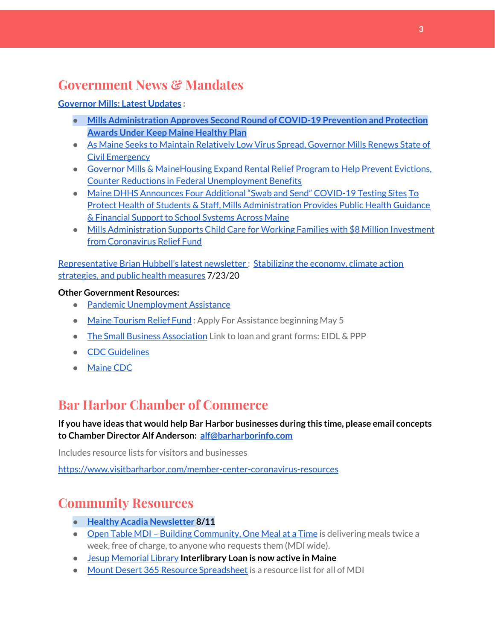## **Government News & Mandates**

#### **[Governor](https://www.maine.gov/governor/mills/) Mills: Latest Updates :**

- **● Mills [Administration](https://www.maine.gov/governor/mills/news/mills-administration-approves-second-round-covid-19-prevention-and-protection-awards-under) Approves Second Round of COVID-19 Prevention and Protection Awards Under Keep Maine [Healthy](https://www.maine.gov/governor/mills/news/mills-administration-approves-second-round-covid-19-prevention-and-protection-awards-under) Plan**
- As Maine Seeks to Maintain [Relatively](https://www.maine.gov/governor/mills/news/maine-seeks-maintain-relatively-low-virus-spread-governor-mills-renews-state-civil-emergency) Low Virus Spread, Governor Mills Renews State of Civil [Emergency](https://www.maine.gov/governor/mills/news/maine-seeks-maintain-relatively-low-virus-spread-governor-mills-renews-state-civil-emergency)
- Governor Mills & [MaineHousing](https://www.maine.gov/governor/mills/news/governor-mills-mainehousing-expand-rental-relief-program-help-prevent-evictions-counter) Expand Rental Relief Program to Help Prevent Evictions, Counter Reductions in Federal [Unemployment](https://www.maine.gov/governor/mills/news/governor-mills-mainehousing-expand-rental-relief-program-help-prevent-evictions-counter) Benefits
- Maine DHHS [Announces](https://www.maine.gov/governor/mills/news/maine-dhhs-announces-four-additional-swab-and-send-covid-19-testing-sites-2020-07-21) Four Additional "Swab and Send" COVID-19 Testing Sites [To](https://www.maine.gov/governor/mills/news/protect-health-students-staff-mills-administration-provides-public-health-guidance-financial) Protect Health of Students & Staff, Mills [Administration](https://www.maine.gov/governor/mills/news/protect-health-students-staff-mills-administration-provides-public-health-guidance-financial) Provides Public Health Guidance & [Financial](https://www.maine.gov/governor/mills/news/protect-health-students-staff-mills-administration-provides-public-health-guidance-financial) Support to School Systems Across Maine
- Mills [Administration](https://www.maine.gov/governor/mills/news/mills-administration-supports-child-care-working-families-8-million-investment-coronavirus) Supports Child Care for Working Families with \$8 Million Investment from [Coronavirus](https://www.maine.gov/governor/mills/news/mills-administration-supports-child-care-working-families-8-million-investment-coronavirus) Relief Fund

[Representative](http://www.rephubbell.com/) Brian Hubbell's latest newsletter : [Stabilizing](http://www.rephubbell.com/2020/07/23/stabilizing-the-economy-climate-action-strategies-and-public-health-measures/) the economy, climate action [strategies,](http://www.rephubbell.com/2020/07/23/stabilizing-the-economy-climate-action-strategies-and-public-health-measures/) and public health measures 7/23/20

#### **Other Government Resources:**

- Pandemic [Unemployment](https://www.maine.gov/unemployment/pua/) Assistance
- Maine [Tourism](https://www.mainetourism.com/maine-tourism-relief-fund/) Relief Fund: Apply For Assistance beginning May 5
- The Small Business [Association](https://www.sba.gov/) Link to loan and grant forms: EIDL & PPP
- CDC [Guidelines](https://www.cdc.gov/coronavirus/2019-nCoV/index.html)
- [Maine](https://www.maine.gov/dhhs/mecdc/infectious-disease/epi/airborne/coronavirus.shtml#news) CDC

## **Bar Harbor Chamber of Commerce**

**If you have ideas that would help Bar Harbor businesses during this time, please email concepts to Chamber Director Alf Anderson: [alf@barharborinfo.com](mailto:alf@barharborinfo.com)**

Includes resource lists for visitors and businesses

<https://www.visitbarharbor.com/member-center-coronavirus-resources>

## **Community Resources**

- **● Healthy Acadia [Newsletter](https://mailchi.mp/healthyacadia.org/august_4_2020) [8](https://mailchi.mp/healthyacadia.org/august_4_2020)/11**
- Open Table MDI Building [Community,](https://www.opentablemdi.org/) One Meal at a Time is delivering meals twice a week, free of charge, to anyone who requests them (MDI wide).
- Jesup [Memorial](https://jesuplibrary.org/) Library **Interlibrary Loan is now active in Maine**
- Mount Desert 365 Resource [Spreadsheet](https://docs.google.com/spreadsheets/d/1okAx6HSsgXZY9CGH07Dzi6rqe7a6m4dLCPKot2Li7Ek/edit?usp=sharing) is a resource list for all of MDI